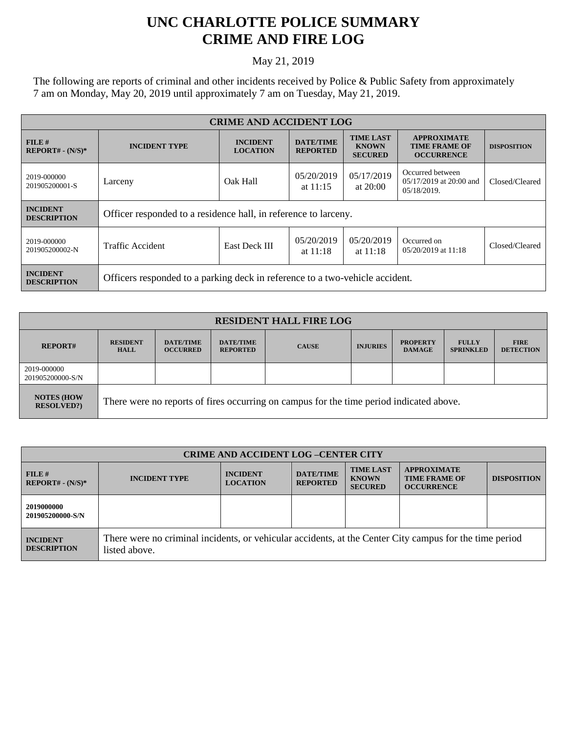## **UNC CHARLOTTE POLICE SUMMARY CRIME AND FIRE LOG**

## May 21, 2019

The following are reports of criminal and other incidents received by Police & Public Safety from approximately 7 am on Monday, May 20, 2019 until approximately 7 am on Tuesday, May 21, 2019.

| <b>CRIME AND ACCIDENT LOG</b>         |                                                                              |                                                    |                                     |                                                    |                                                                 |                    |
|---------------------------------------|------------------------------------------------------------------------------|----------------------------------------------------|-------------------------------------|----------------------------------------------------|-----------------------------------------------------------------|--------------------|
| FILE H<br>$REPORT# - (N/S)*$          | <b>INCIDENT TYPE</b>                                                         | <b>INCIDENT</b><br><b>LOCATION</b>                 | <b>DATE/TIME</b><br><b>REPORTED</b> | <b>TIME LAST</b><br><b>KNOWN</b><br><b>SECURED</b> | <b>APPROXIMATE</b><br><b>TIME FRAME OF</b><br><b>OCCURRENCE</b> | <b>DISPOSITION</b> |
| 2019-000000<br>201905200001-S         | Larceny                                                                      | 05/20/2019<br>Oak Hall<br>at $20:00$<br>at $11:15$ |                                     | 05/17/2019                                         | Occurred between<br>05/17/2019 at 20:00 and<br>05/18/2019.      | Closed/Cleared     |
| <b>INCIDENT</b><br><b>DESCRIPTION</b> | Officer responded to a residence hall, in reference to larceny.              |                                                    |                                     |                                                    |                                                                 |                    |
| 2019-000000<br>201905200002-N         | Traffic Accident                                                             | <b>East Deck III</b>                               | 05/20/2019<br>at $11:18$            | 05/20/2019<br>at $11:18$                           | Occurred on<br>$05/20/2019$ at 11:18                            | Closed/Cleared     |
| <b>INCIDENT</b><br><b>DESCRIPTION</b> | Officers responded to a parking deck in reference to a two-vehicle accident. |                                                    |                                     |                                                    |                                                                 |                    |

| <b>RESIDENT HALL FIRE LOG</b>         |                                                                                         |                                     |                                     |              |                 |                                  |                                  |                                 |
|---------------------------------------|-----------------------------------------------------------------------------------------|-------------------------------------|-------------------------------------|--------------|-----------------|----------------------------------|----------------------------------|---------------------------------|
| <b>REPORT#</b>                        | <b>RESIDENT</b><br><b>HALL</b>                                                          | <b>DATE/TIME</b><br><b>OCCURRED</b> | <b>DATE/TIME</b><br><b>REPORTED</b> | <b>CAUSE</b> | <b>INJURIES</b> | <b>PROPERTY</b><br><b>DAMAGE</b> | <b>FULLY</b><br><b>SPRINKLED</b> | <b>FIRE</b><br><b>DETECTION</b> |
| 2019-000000<br>201905200000-S/N       |                                                                                         |                                     |                                     |              |                 |                                  |                                  |                                 |
| <b>NOTES (HOW</b><br><b>RESOLVED?</b> | There were no reports of fires occurring on campus for the time period indicated above. |                                     |                                     |              |                 |                                  |                                  |                                 |

| <b>CRIME AND ACCIDENT LOG-CENTER CITY</b> |                                                                                                                          |                                    |                                     |                                                    |                                                                 |                    |
|-------------------------------------------|--------------------------------------------------------------------------------------------------------------------------|------------------------------------|-------------------------------------|----------------------------------------------------|-----------------------------------------------------------------|--------------------|
| FILE#<br>$REPORT# - (N/S)*$               | <b>INCIDENT TYPE</b>                                                                                                     | <b>INCIDENT</b><br><b>LOCATION</b> | <b>DATE/TIME</b><br><b>REPORTED</b> | <b>TIME LAST</b><br><b>KNOWN</b><br><b>SECURED</b> | <b>APPROXIMATE</b><br><b>TIME FRAME OF</b><br><b>OCCURRENCE</b> | <b>DISPOSITION</b> |
| 2019000000<br>201905200000-S/N            |                                                                                                                          |                                    |                                     |                                                    |                                                                 |                    |
| <b>INCIDENT</b><br><b>DESCRIPTION</b>     | There were no criminal incidents, or vehicular accidents, at the Center City campus for the time period<br>listed above. |                                    |                                     |                                                    |                                                                 |                    |